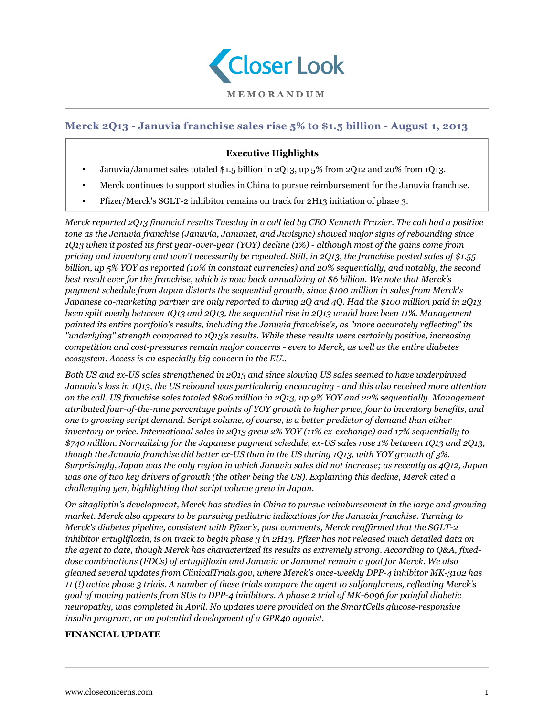

# **Merck 2Q13 - Januvia franchise sales rise 5% to \$1.5 billion - August 1, 2013**

## **Executive Highlights**

- Januvia/Janumet sales totaled \$1.5 billion in 2Q13, up 5% from 2Q12 and 20% from 1Q13.
- Merck continues to support studies in China to pursue reimbursement for the Januvia franchise.
- Pfizer/Merck's SGLT-2 inhibitor remains on track for 2H13 initiation of phase 3.

*Merck reported 2Q13 financial results Tuesday in a call led by CEO Kenneth Frazier. The call had a positive tone as the Januvia franchise (Januvia, Janumet, and Juvisync) showed major signs of rebounding since 1Q13 when it posted its first year-over-year (YOY) decline (1%) - although most of the gains come from pricing and inventory and won't necessarily be repeated. Still, in 2Q13, the franchise posted sales of \$1.55 billion, up 5% YOY as reported (10% in constant currencies) and 20% sequentially, and notably, the second best result ever for the franchise, which is now back annualizing at \$6 billion. We note that Merck's payment schedule from Japan distorts the sequential growth, since \$100 million in sales from Merck's Japanese co-marketing partner are only reported to during 2Q and 4Q. Had the \$100 million paid in 2Q13 been split evenly between 1Q13 and 2Q13, the sequential rise in 2Q13 would have been 11%. Management painted its entire portfolio's results, including the Januvia franchise's, as "more accurately reflecting" its "underlying" strength compared to 1Q13's results. While these results were certainly positive, increasing competition and cost-pressures remain major concerns - even to Merck, as well as the entire diabetes ecosystem. Access is an especially big concern in the EU..*

*Both US and ex-US sales strengthened in 2Q13 and since slowing US sales seemed to have underpinned Januvia's loss in 1Q13, the US rebound was particularly encouraging - and this also received more attention on the call. US franchise sales totaled \$806 million in 2Q13, up 9% YOY and 22% sequentially. Management attributed four-of-the-nine percentage points of YOY growth to higher price, four to inventory benefits, and one to growing script demand. Script volume, of course, is a better predictor of demand than either inventory or price. International sales in 2Q13 grew 2% YOY (11% ex-exchange) and 17% sequentially to \$740 million. Normalizing for the Japanese payment schedule, ex-US sales rose 1% between 1Q13 and 2Q13, though the Januvia franchise did better ex-US than in the US during 1Q13, with YOY growth of 3%. Surprisingly, Japan was the only region in which Januvia sales did not increase; as recently as 4Q12, Japan was one of two key drivers of growth (the other being the US). Explaining this decline, Merck cited a challenging yen, highlighting that script volume grew in Japan.*

*On sitagliptin's development, Merck has studies in China to pursue reimbursement in the large and growing market. Merck also appears to be pursuing pediatric indications for the Januvia franchise. Turning to Merck's diabetes pipeline, consistent with Pfizer's, past comments, Merck reaffirmed that the SGLT-2 inhibitor ertugliflozin, is on track to begin phase 3 in 2H13. Pfizer has not released much detailed data on the agent to date, though Merck has characterized its results as extremely strong. According to Q&A, fixeddose combinations (FDCs) of ertugliflozin and Januvia or Janumet remain a goal for Merck. We also gleaned several updates from ClinicalTrials.gov, where Merck's once-weekly DPP-4 inhibitor MK-3102 has 11 (!) active phase 3 trials. A number of these trials compare the agent to sulfonylureas, reflecting Merck's goal of moving patients from SUs to DPP-4 inhibitors. A phase 2 trial of MK-6096 for painful diabetic neuropathy, was completed in April. No updates were provided on the SmartCells glucose-responsive insulin program, or on potential development of a GPR40 agonist.*

#### **FINANCIAL UPDATE**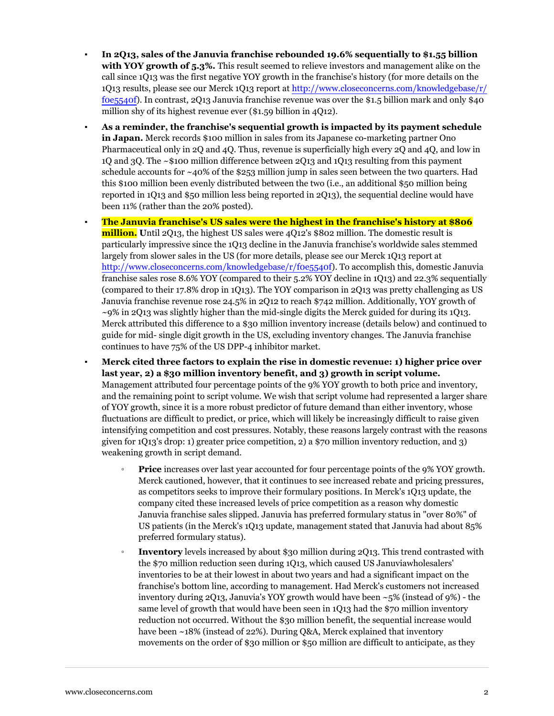- **In 2Q13, sales of the Januvia franchise rebounded 19.6% sequentially to \$1.55 billion with YOY growth of 5.3%.** This result seemed to relieve investors and management alike on the call since 1Q13 was the first negative YOY growth in the franchise's history (for more details on the 1Q13 results, please see our Merck 1Q13 report at [http://www.closeconcerns.com/knowledgebase/r/](/knowledgebase/r/f0e5540f) [f0e5540f\)](/knowledgebase/r/f0e5540f). In contrast, 2Q13 Januvia franchise revenue was over the \$1.5 billion mark and only \$40 million shy of its highest revenue ever (\$1.59 billion in 4Q12).
- **As a reminder, the franchise's sequential growth is impacted by its payment schedule in Japan.** Merck records \$100 million in sales from its Japanese co-marketing partner Ono Pharmaceutical only in 2Q and 4Q. Thus, revenue is superficially high every 2Q and 4Q, and low in 1Q and 3Q. The ~\$100 million difference between 2Q13 and 1Q13 resulting from this payment schedule accounts for  $\sim$ 40% of the \$253 million jump in sales seen between the two quarters. Had this \$100 million been evenly distributed between the two (i.e., an additional \$50 million being reported in 1Q13 and \$50 million less being reported in 2Q13), the sequential decline would have been 11% (rather than the 20% posted)*.*
- **The Januvia franchise's US sales were the highest in the franchise's history at \$806 million.** Until 2Q13, the highest US sales were 4Q12's \$802 million. The domestic result is particularly impressive since the 1Q13 decline in the Januvia franchise's worldwide sales stemmed largely from slower sales in the US (for more details, please see our Merck 1Q13 report at [http://www.closeconcerns.com/knowledgebase/r/f0e5540f\)](/knowledgebase/r/f0e5540f). To accomplish this, domestic Januvia franchise sales rose 8.6% YOY (compared to their 5.2% YOY decline in 1Q13) and 22.3% sequentially (compared to their 17.8% drop in 1Q13). The YOY comparison in 2Q13 was pretty challenging as US Januvia franchise revenue rose 24.5% in 2Q12 to reach \$742 million. Additionally, YOY growth of  $\sim$ 9% in 2013 was slightly higher than the mid-single digits the Merck guided for during its 1013. Merck attributed this difference to a \$30 million inventory increase (details below) and continued to guide for mid- single digit growth in the US, excluding inventory changes. The Januvia franchise continues to have 75% of the US DPP-4 inhibitor market.
- **Merck cited three factors to explain the rise in domestic revenue: 1) higher price over last year, 2) a \$30 million inventory benefit, and 3) growth in script volume.** Management attributed four percentage points of the 9% YOY growth to both price and inventory, and the remaining point to script volume. We wish that script volume had represented a larger share of YOY growth, since it is a more robust predictor of future demand than either inventory, whose fluctuations are difficult to predict, or price, which will likely be increasingly difficult to raise given intensifying competition and cost pressures. Notably, these reasons largely contrast with the reasons given for 1Q13's drop: 1) greater price competition, 2) a \$70 million inventory reduction, and 3) weakening growth in script demand.
	- **Price** increases over last year accounted for four percentage points of the 9% YOY growth. Merck cautioned, however, that it continues to see increased rebate and pricing pressures, as competitors seeks to improve their formulary positions. In Merck's 1Q13 update, the company cited these increased levels of price competition as a reason why domestic Januvia franchise sales slipped. Januvia has preferred formulary status in "over 80%" of US patients (in the Merck's 1Q13 update, management stated that Januvia had about 85% preferred formulary status).
	- **Inventory** levels increased by about \$30 million during 2Q13. This trend contrasted with the \$70 million reduction seen during 1Q13, which caused US Januviawholesalers' inventories to be at their lowest in about two years and had a significant impact on the franchise's bottom line, according to management. Had Merck's customers not increased inventory during  $2Q13$ , Januvia's YOY growth would have been  $\sim$  5% (instead of 9%) - the same level of growth that would have been seen in 1Q13 had the \$70 million inventory reduction not occurred. Without the \$30 million benefit, the sequential increase would have been ~18% (instead of 22%). During Q&A, Merck explained that inventory movements on the order of \$30 million or \$50 million are difficult to anticipate, as they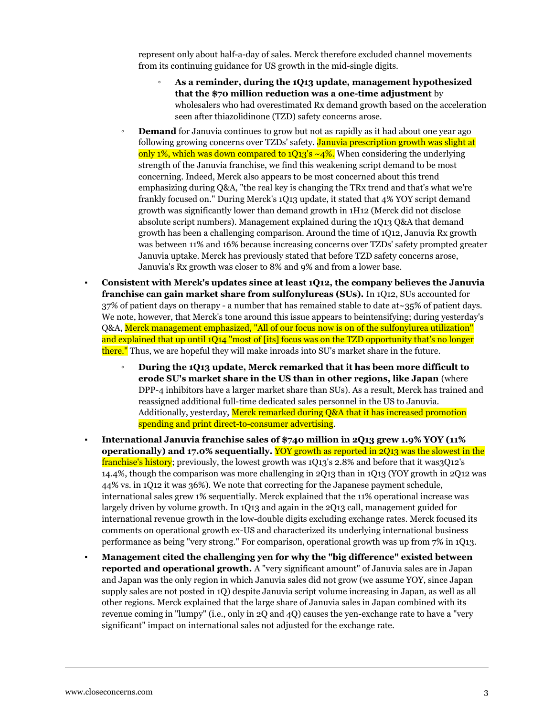represent only about half-a-day of sales. Merck therefore excluded channel movements from its continuing guidance for US growth in the mid-single digits.

- **As a reminder, during the 1Q13 update, management hypothesized that the \$70 million reduction was a one-time adjustment** by wholesalers who had overestimated Rx demand growth based on the acceleration seen after thiazolidinone (TZD) safety concerns arose.
- **Demand** for Januvia continues to grow but not as rapidly as it had about one year ago following growing concerns over TZDs' safety. Januvia prescription growth was slight at only 1%, which was down compared to  $1Q13's \sim 4\%$ . When considering the underlying strength of the Januvia franchise, we find this weakening script demand to be most concerning. Indeed, Merck also appears to be most concerned about this trend emphasizing during Q&A, "the real key is changing the TRx trend and that's what we're frankly focused on." During Merck's 1Q13 update, it stated that 4% YOY script demand growth was significantly lower than demand growth in 1H12 (Merck did not disclose absolute script numbers). Management explained during the 1Q13 Q&A that demand growth has been a challenging comparison. Around the time of 1Q12, Januvia Rx growth was between 11% and 16% because increasing concerns over TZDs' safety prompted greater Januvia uptake. Merck has previously stated that before TZD safety concerns arose, Januvia's Rx growth was closer to 8% and 9% and from a lower base.
- **Consistent with Merck's updates since at least 1Q12, the company believes the Januvia franchise can gain market share from sulfonylureas (SUs).** In 1Q12, SUs accounted for 37% of patient days on therapy - a number that has remained stable to date at~35% of patient days. We note, however, that Merck's tone around this issue appears to beintensifying; during yesterday's Q&A, Merck management emphasized, "All of our focus now is on of the sulfonylurea utilization" and explained that up until 1Q14 "most of [its] focus was on the TZD opportunity that's no longer there." Thus, we are hopeful they will make inroads into SU's market share in the future.
	- **During the 1Q13 update, Merck remarked that it has been more difficult to erode SU's market share in the US than in other regions, like Japan** (where DPP-4 inhibitors have a larger market share than SUs). As a result, Merck has trained and reassigned additional full-time dedicated sales personnel in the US to Januvia. Additionally, yesterday, Merck remarked during Q&A that it has increased promotion spending and print direct-to-consumer advertising.
- **International Januvia franchise sales of \$740 million in 2Q13 grew 1.9% YOY (11% operationally) and 17.0% sequentially.** YOY growth as reported in 2Q13 was the slowest in the franchise's history; previously, the lowest growth was 1Q13's 2.8% and before that it was3Q12's 14.4%, though the comparison was more challenging in 2Q13 than in 1Q13 (YOY growth in 2Q12 was 44% vs. in 1Q12 it was 36%). We note that correcting for the Japanese payment schedule, international sales grew 1% sequentially. Merck explained that the 11% operational increase was largely driven by volume growth. In 1Q13 and again in the 2Q13 call, management guided for international revenue growth in the low-double digits excluding exchange rates. Merck focused its comments on operational growth ex-US and characterized its underlying international business performance as being "very strong." For comparison, operational growth was up from 7% in 1Q13.
- **Management cited the challenging yen for why the "big difference" existed between reported and operational growth.** A "very significant amount" of Januvia sales are in Japan and Japan was the only region in which Januvia sales did not grow (we assume YOY, since Japan supply sales are not posted in 1Q) despite Januvia script volume increasing in Japan, as well as all other regions. Merck explained that the large share of Januvia sales in Japan combined with its revenue coming in "lumpy" (i.e., only in 2Q and 4Q) causes the yen-exchange rate to have a "very significant" impact on international sales not adjusted for the exchange rate.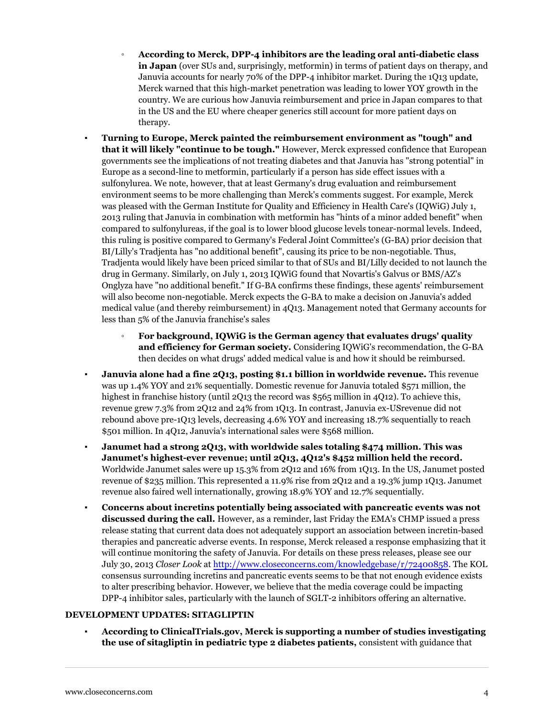- **According to Merck, DPP-4 inhibitors are the leading oral anti-diabetic class in Japan** (over SUs and, surprisingly, metformin) in terms of patient days on therapy, and Januvia accounts for nearly 70% of the DPP-4 inhibitor market. During the 1Q13 update, Merck warned that this high-market penetration was leading to lower YOY growth in the country. We are curious how Januvia reimbursement and price in Japan compares to that in the US and the EU where cheaper generics still account for more patient days on therapy.
- **Turning to Europe, Merck painted the reimbursement environment as "tough" and that it will likely "continue to be tough."** However, Merck expressed confidence that European governments see the implications of not treating diabetes and that Januvia has "strong potential" in Europe as a second-line to metformin, particularly if a person has side effect issues with a sulfonylurea. We note, however, that at least Germany's drug evaluation and reimbursement environment seems to be more challenging than Merck's comments suggest. For example, Merck was pleased with the German Institute for Quality and Efficiency in Health Care's (IQWiG) July 1, 2013 ruling that Januvia in combination with metformin has "hints of a minor added benefit" when compared to sulfonylureas, if the goal is to lower blood glucose levels tonear-normal levels. Indeed, this ruling is positive compared to Germany's Federal Joint Committee's (G-BA) prior decision that BI/Lilly's Tradjenta has "no additional benefit", causing its price to be non-negotiable. Thus, Tradjenta would likely have been priced similar to that of SUs and BI/Lilly decided to not launch the drug in Germany. Similarly, on July 1, 2013 IQWiG found that Novartis's Galvus or BMS/AZ's Onglyza have "no additional benefit." If G-BA confirms these findings, these agents' reimbursement will also become non-negotiable. Merck expects the G-BA to make a decision on Januvia's added medical value (and thereby reimbursement) in 4Q13. Management noted that Germany accounts for less than 5% of the Januvia franchise's sales
	- **For background, IQWiG is the German agency that evaluates drugs' quality and efficiency for German society.** Considering IQWiG's recommendation, the G-BA then decides on what drugs' added medical value is and how it should be reimbursed.
- **Januvia alone had a fine 2013, posting \$1.1 billion in worldwide revenue.** This revenue was up 1.4% YOY and 21% sequentially. Domestic revenue for Januvia totaled \$571 million, the highest in franchise history (until 2Q13 the record was \$565 million in 4Q12). To achieve this, revenue grew 7.3% from 2Q12 and 24% from 1Q13. In contrast, Januvia ex-USrevenue did not rebound above pre-1Q13 levels, decreasing 4.6% YOY and increasing 18.7% sequentially to reach \$501 million. In 4Q12, Januvia's international sales were \$568 million.
- **Janumet had a strong 2Q13, with worldwide sales totaling \$474 million. This was Janumet's highest-ever revenue; until 2Q13, 4Q12's \$452 million held the record.** Worldwide Janumet sales were up 15.3% from 2Q12 and 16% from 1Q13. In the US, Janumet posted revenue of \$235 million. This represented a 11.9% rise from 2Q12 and a 19.3% jump 1Q13. Janumet revenue also faired well internationally, growing 18.9% YOY and 12.7% sequentially.
- **Concerns about incretins potentially being associated with pancreatic events was not discussed during the call.** However, as a reminder, last Friday the EMA's CHMP issued a press release stating that current data does not adequately support an association between incretin-based therapies and pancreatic adverse events. In response, Merck released a response emphasizing that it will continue monitoring the safety of Januvia. For details on these press releases, please see our July 30, 2013 *Closer Look* at [http://www.closeconcerns.com/knowledgebase/r/72400858.](/knowledgebase/r/72400858) The KOL consensus surrounding incretins and pancreatic events seems to be that not enough evidence exists to alter prescribing behavior. However, we believe that the media coverage could be impacting DPP-4 inhibitor sales, particularly with the launch of SGLT-2 inhibitors offering an alternative.

#### **DEVELOPMENT UPDATES: SITAGLIPTIN**

▪ **According to ClinicalTrials.gov, Merck is supporting a number of studies investigating the use of sitagliptin in pediatric type 2 diabetes patients,** consistent with guidance that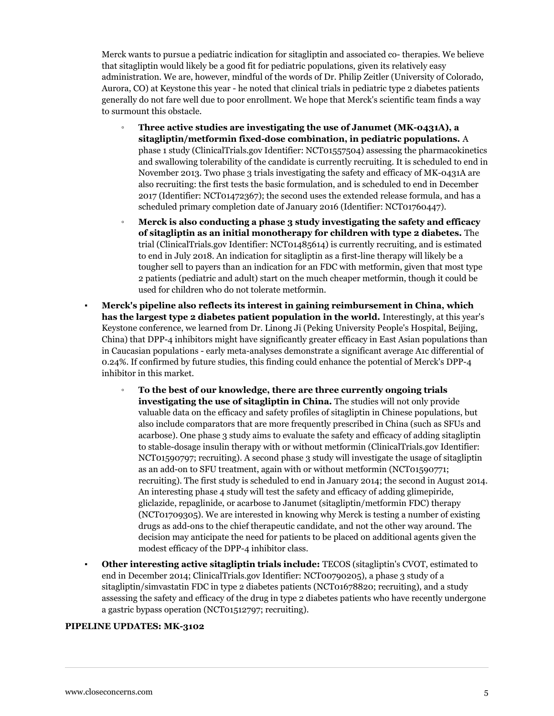Merck wants to pursue a pediatric indication for sitagliptin and associated co- therapies. We believe that sitagliptin would likely be a good fit for pediatric populations, given its relatively easy administration. We are, however, mindful of the words of Dr. Philip Zeitler (University of Colorado, Aurora, CO) at Keystone this year - he noted that clinical trials in pediatric type 2 diabetes patients generally do not fare well due to poor enrollment. We hope that Merck's scientific team finds a way to surmount this obstacle.

- **Three active studies are investigating the use of Janumet (MK-0431A), a sitagliptin/metformin fixed-dose combination, in pediatric populations.** A phase 1 study (ClinicalTrials.gov Identifier: NCT01557504) assessing the pharmacokinetics and swallowing tolerability of the candidate is currently recruiting. It is scheduled to end in November 2013. Two phase 3 trials investigating the safety and efficacy of MK-0431A are also recruiting: the first tests the basic formulation, and is scheduled to end in December 2017 (Identifier: NCT01472367); the second uses the extended release formula, and has a scheduled primary completion date of January 2016 (Identifier: NCT01760447).
- **Merck is also conducting a phase 3 study investigating the safety and efficacy of sitagliptin as an initial monotherapy for children with type 2 diabetes.** The trial (ClinicalTrials.gov Identifier: NCT01485614) is currently recruiting, and is estimated to end in July 2018. An indication for sitagliptin as a first-line therapy will likely be a tougher sell to payers than an indication for an FDC with metformin, given that most type 2 patients (pediatric and adult) start on the much cheaper metformin, though it could be used for children who do not tolerate metformin.
- **Merck's pipeline also reflects its interest in gaining reimbursement in China, which has the largest type 2 diabetes patient population in the world.** Interestingly, at this year's Keystone conference, we learned from Dr. Linong Ji (Peking University People's Hospital, Beijing, China) that DPP-4 inhibitors might have significantly greater efficacy in East Asian populations than in Caucasian populations - early meta-analyses demonstrate a significant average A1c differential of 0.24%. If confirmed by future studies, this finding could enhance the potential of Merck's DPP-4 inhibitor in this market.
	- **To the best of our knowledge, there are three currently ongoing trials investigating the use of sitagliptin in China.** The studies will not only provide valuable data on the efficacy and safety profiles of sitagliptin in Chinese populations, but also include comparators that are more frequently prescribed in China (such as SFUs and acarbose). One phase 3 study aims to evaluate the safety and efficacy of adding sitagliptin to stable-dosage insulin therapy with or without metformin (ClinicalTrials.gov Identifier: NCT01590797; recruiting). A second phase 3 study will investigate the usage of sitagliptin as an add-on to SFU treatment, again with or without metformin (NCT01590771; recruiting). The first study is scheduled to end in January 2014; the second in August 2014. An interesting phase 4 study will test the safety and efficacy of adding glimepiride, gliclazide, repaglinide, or acarbose to Janumet (sitagliptin/metformin FDC) therapy (NCT01709305). We are interested in knowing why Merck is testing a number of existing drugs as add-ons to the chief therapeutic candidate, and not the other way around. The decision may anticipate the need for patients to be placed on additional agents given the modest efficacy of the DPP-4 inhibitor class.
- **Other interesting active sitagliptin trials include:** TECOS (sitagliptin's CVOT, estimated to end in December 2014; ClinicalTrials.gov Identifier: NCT00790205), a phase 3 study of a sitagliptin/simvastatin FDC in type 2 diabetes patients (NCT01678820; recruiting), and a study assessing the safety and efficacy of the drug in type 2 diabetes patients who have recently undergone a gastric bypass operation (NCT01512797; recruiting).

#### **PIPELINE UPDATES: MK-3102**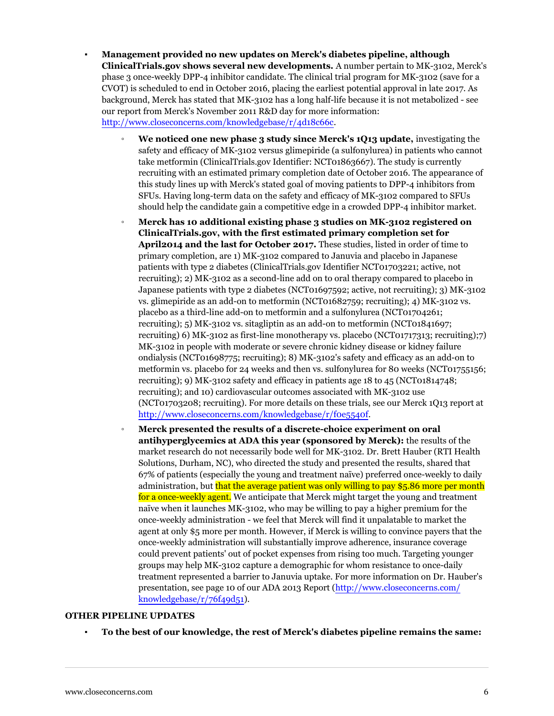- **Management provided no new updates on Merck's diabetes pipeline, although ClinicalTrials.gov shows several new developments.** A number pertain to MK-3102, Merck's phase 3 once-weekly DPP-4 inhibitor candidate. The clinical trial program for MK-3102 (save for a CVOT) is scheduled to end in October 2016, placing the earliest potential approval in late 2017. As background, Merck has stated that MK-3102 has a long half-life because it is not metabolized - see our report from Merck's November 2011 R&D day for more information: [http://www.closeconcerns.com/knowledgebase/r/4d18c66c.](/knowledgebase/r/4d18c66c)
	- **We noticed one new phase 3 study since Merck's 1Q13 update,** investigating the safety and efficacy of MK-3102 versus glimepiride (a sulfonylurea) in patients who cannot take metformin (ClinicalTrials.gov Identifier: NCT01863667). The study is currently recruiting with an estimated primary completion date of October 2016. The appearance of this study lines up with Merck's stated goal of moving patients to DPP-4 inhibitors from SFUs. Having long-term data on the safety and efficacy of MK-3102 compared to SFUs should help the candidate gain a competitive edge in a crowded DPP-4 inhibitor market.
	- **Merck has 10 additional existing phase 3 studies on MK-3102 registered on ClinicalTrials.gov, with the first estimated primary completion set for April2014 and the last for October 2017.** These studies, listed in order of time to primary completion, are 1) MK-3102 compared to Januvia and placebo in Japanese patients with type 2 diabetes (ClinicalTrials.gov Identifier NCT01703221; active, not recruiting); 2) MK-3102 as a second-line add on to oral therapy compared to placebo in Japanese patients with type 2 diabetes (NCT01697592; active, not recruiting); 3) MK-3102 vs. glimepiride as an add-on to metformin (NCT01682759; recruiting); 4) MK-3102 vs. placebo as a third-line add-on to metformin and a sulfonylurea (NCT01704261; recruiting); 5) MK-3102 vs. sitagliptin as an add-on to metformin (NCT01841697; recruiting) 6) MK-3102 as first-line monotherapy vs. placebo (NCT01717313; recruiting);7) MK-3102 in people with moderate or severe chronic kidney disease or kidney failure ondialysis (NCT01698775; recruiting); 8) MK-3102's safety and efficacy as an add-on to metformin vs. placebo for 24 weeks and then vs. sulfonylurea for 80 weeks (NCT01755156; recruiting); 9) MK-3102 safety and efficacy in patients age 18 to 45 (NCT01814748; recruiting); and 10) cardiovascular outcomes associated with MK-3102 use (NCT01703208; recruiting). For more details on these trials, see our Merck 1Q13 report at [http://www.closeconcerns.com/knowledgebase/r/f0e5540f](/knowledgebase/r/f0e5540f).
	- **Merck presented the results of a discrete-choice experiment on oral antihyperglycemics at ADA this year (sponsored by Merck):** the results of the market research do not necessarily bode well for MK-3102. Dr. Brett Hauber (RTI Health Solutions, Durham, NC), who directed the study and presented the results, shared that 67% of patients (especially the young and treatment naïve) preferred once-weekly to daily administration, but that the average patient was only willing to pay \$5.86 more per month for a once-weekly agent. We anticipate that Merck might target the young and treatment naïve when it launches MK-3102, who may be willing to pay a higher premium for the once-weekly administration - we feel that Merck will find it unpalatable to market the agent at only \$5 more per month. However, if Merck is willing to convince payers that the once-weekly administration will substantially improve adherence, insurance coverage could prevent patients' out of pocket expenses from rising too much. Targeting younger groups may help MK-3102 capture a demographic for whom resistance to once-daily treatment represented a barrier to Januvia uptake. For more information on Dr. Hauber's presentation, see page 10 of our ADA 2013 Report ([http://www.closeconcerns.com/](/knowledgebase/r/76f49d51) knowledgebase/ $r/76f49d51$ ).

#### **OTHER PIPELINE UPDATES**

▪ **To the best of our knowledge, the rest of Merck's diabetes pipeline remains the same:**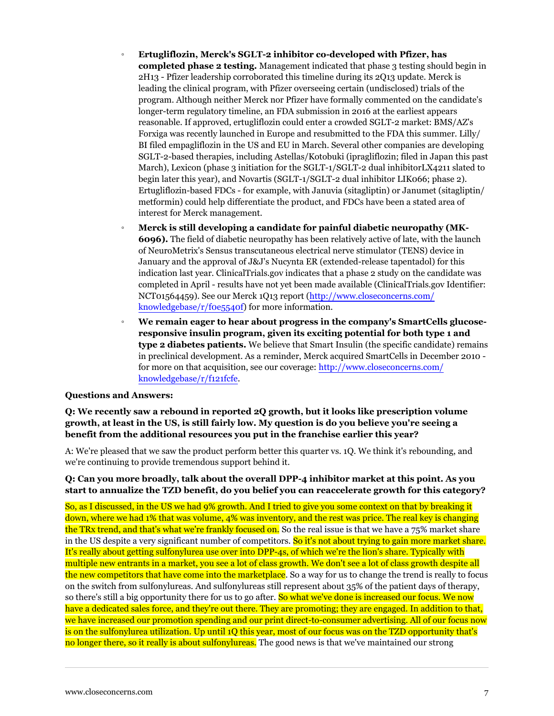- **Ertugliflozin, Merck's SGLT-2 inhibitor co-developed with Pfizer, has completed phase 2 testing.** Management indicated that phase 3 testing should begin in 2H13 - Pfizer leadership corroborated this timeline during its 2Q13 update. Merck is leading the clinical program, with Pfizer overseeing certain (undisclosed) trials of the program. Although neither Merck nor Pfizer have formally commented on the candidate's longer-term regulatory timeline, an FDA submission in 2016 at the earliest appears reasonable. If approved, ertugliflozin could enter a crowded SGLT-2 market: BMS/AZ's Forxiga was recently launched in Europe and resubmitted to the FDA this summer. Lilly/ BI filed empagliflozin in the US and EU in March. Several other companies are developing SGLT-2-based therapies, including Astellas/Kotobuki (ipragliflozin; filed in Japan this past March), Lexicon (phase 3 initiation for the SGLT-1/SGLT-2 dual inhibitorLX4211 slated to begin later this year), and Novartis (SGLT-1/SGLT-2 dual inhibitor LIK066; phase 2). Ertugliflozin-based FDCs - for example, with Januvia (sitagliptin) or Janumet (sitagliptin/ metformin) could help differentiate the product, and FDCs have been a stated area of interest for Merck management.
- **Merck is still developing a candidate for painful diabetic neuropathy (MK-6096).** The field of diabetic neuropathy has been relatively active of late, with the launch of NeuroMetrix's Sensus transcutaneous electrical nerve stimulator (TENS) device in January and the approval of J&J's Nucynta ER (extended-release tapentadol) for this indication last year. ClinicalTrials.gov indicates that a phase 2 study on the candidate was completed in April - results have not yet been made available (ClinicalTrials.gov Identifier: NCT01564459). See our Merck 1Q13 report [\(http://www.closeconcerns.com/](/knowledgebase/r/f0e5540f) [knowledgebase/r/f0e5540f](/knowledgebase/r/f0e5540f)) for more information.
- **We remain eager to hear about progress in the company's SmartCells glucoseresponsive insulin program, given its exciting potential for both type 1 and type 2 diabetes patients.** We believe that Smart Insulin (the specific candidate) remains in preclinical development. As a reminder, Merck acquired SmartCells in December 2010 for more on that acquisition, see our coverage: [http://www.closeconcerns.com/](/knowledgebase/r/f121fcfe) [knowledgebase/r/f121fcfe.](/knowledgebase/r/f121fcfe)

#### **Questions and Answers:**

**Q: We recently saw a rebound in reported 2Q growth, but it looks like prescription volume growth, at least in the US, is still fairly low. My question is do you believe you're seeing a benefit from the additional resources you put in the franchise earlier this year?**

A: We're pleased that we saw the product perform better this quarter vs. 1Q. We think it's rebounding, and we're continuing to provide tremendous support behind it.

#### **Q: Can you more broadly, talk about the overall DPP-4 inhibitor market at this point. As you start to annualize the TZD benefit, do you belief you can reaccelerate growth for this category?**

So, as I discussed, in the US we had 9% growth. And I tried to give you some context on that by breaking it down, where we had 1% that was volume, 4% was inventory, and the rest was price. The real key is changing the TRx trend, and that's what we're frankly focused on. So the real issue is that we have a 75% market share in the US despite a very significant number of competitors. So it's not about trying to gain more market share. It's really about getting sulfonylurea use over into DPP-4s, of which we're the lion's share. Typically with multiple new entrants in a market, you see a lot of class growth. We don't see a lot of class growth despite all the new competitors that have come into the marketplace. So a way for us to change the trend is really to focus on the switch from sulfonylureas. And sulfonylureas still represent about 35% of the patient days of therapy, so there's still a big opportunity there for us to go after. So what we've done is increased our focus. We now have a dedicated sales force, and they're out there. They are promoting; they are engaged. In addition to that, we have increased our promotion spending and our print direct-to-consumer advertising. All of our focus now is on the sulfonylurea utilization. Up until 1Q this year, most of our focus was on the TZD opportunity that's no longer there, so it really is about sulfonylureas. The good news is that we've maintained our strong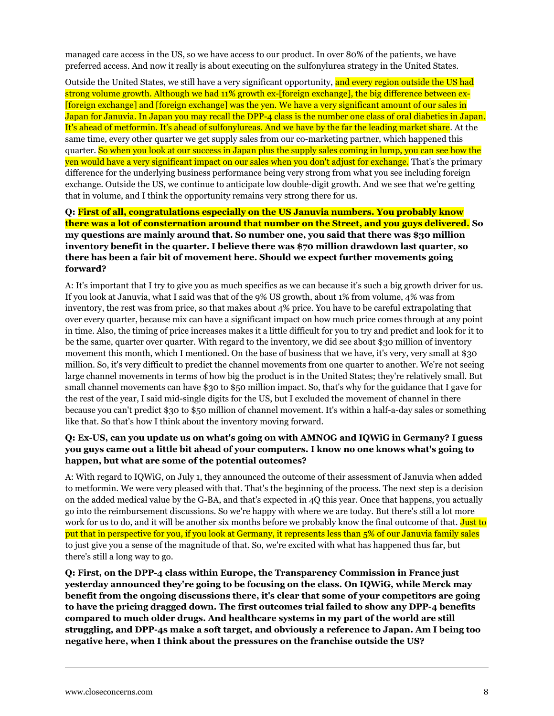managed care access in the US, so we have access to our product. In over 80% of the patients, we have preferred access. And now it really is about executing on the sulfonylurea strategy in the United States.

Outside the United States, we still have a very significant opportunity, and every region outside the US had strong volume growth. Although we had 11% growth ex-[foreign exchange], the big difference between ex- [foreign exchange] and [foreign exchange] was the yen. We have a very significant amount of our sales in Japan for Januvia. In Japan you may recall the DPP-4 class is the number one class of oral diabetics in Japan. It's ahead of metformin. It's ahead of sulfonylureas. And we have by the far the leading market share. At the same time, every other quarter we get supply sales from our co-marketing partner, which happened this quarter. So when you look at our success in Japan plus the supply sales coming in lump, you can see how the yen would have a very significant impact on our sales when you don't adjust for exchange. That's the primary difference for the underlying business performance being very strong from what you see including foreign exchange. Outside the US, we continue to anticipate low double-digit growth. And we see that we're getting that in volume, and I think the opportunity remains very strong there for us.

## **Q: First of all, congratulations especially on the US Januvia numbers. You probably know there was a lot of consternation around that number on the Street, and you guys delivered. So my questions are mainly around that. So number one, you said that there was \$30 million inventory benefit in the quarter. I believe there was \$70 million drawdown last quarter, so there has been a fair bit of movement here. Should we expect further movements going forward?**

A: It's important that I try to give you as much specifics as we can because it's such a big growth driver for us. If you look at Januvia, what I said was that of the 9% US growth, about 1% from volume, 4% was from inventory, the rest was from price, so that makes about 4% price. You have to be careful extrapolating that over every quarter, because mix can have a significant impact on how much price comes through at any point in time. Also, the timing of price increases makes it a little difficult for you to try and predict and look for it to be the same, quarter over quarter. With regard to the inventory, we did see about \$30 million of inventory movement this month, which I mentioned. On the base of business that we have, it's very, very small at \$30 million. So, it's very difficult to predict the channel movements from one quarter to another. We're not seeing large channel movements in terms of how big the product is in the United States; they're relatively small. But small channel movements can have \$30 to \$50 million impact. So, that's why for the guidance that I gave for the rest of the year, I said mid-single digits for the US, but I excluded the movement of channel in there because you can't predict \$30 to \$50 million of channel movement. It's within a half-a-day sales or something like that. So that's how I think about the inventory moving forward.

## **Q: Ex-US, can you update us on what's going on with AMNOG and IQWiG in Germany? I guess you guys came out a little bit ahead of your computers. I know no one knows what's going to happen, but what are some of the potential outcomes?**

A: With regard to IQWiG, on July 1, they announced the outcome of their assessment of Januvia when added to metformin. We were very pleased with that. That's the beginning of the process. The next step is a decision on the added medical value by the G-BA, and that's expected in 4Q this year. Once that happens, you actually go into the reimbursement discussions. So we're happy with where we are today. But there's still a lot more work for us to do, and it will be another six months before we probably know the final outcome of that. Just to put that in perspective for you, if you look at Germany, it represents less than 5% of our Januvia family sales to just give you a sense of the magnitude of that. So, we're excited with what has happened thus far, but there's still a long way to go.

**Q: First, on the DPP-4 class within Europe, the Transparency Commission in France just yesterday announced they're going to be focusing on the class. On IQWiG, while Merck may benefit from the ongoing discussions there, it's clear that some of your competitors are going to have the pricing dragged down. The first outcomes trial failed to show any DPP-4 benefits compared to much older drugs. And healthcare systems in my part of the world are still struggling, and DPP-4s make a soft target, and obviously a reference to Japan. Am I being too negative here, when I think about the pressures on the franchise outside the US?**